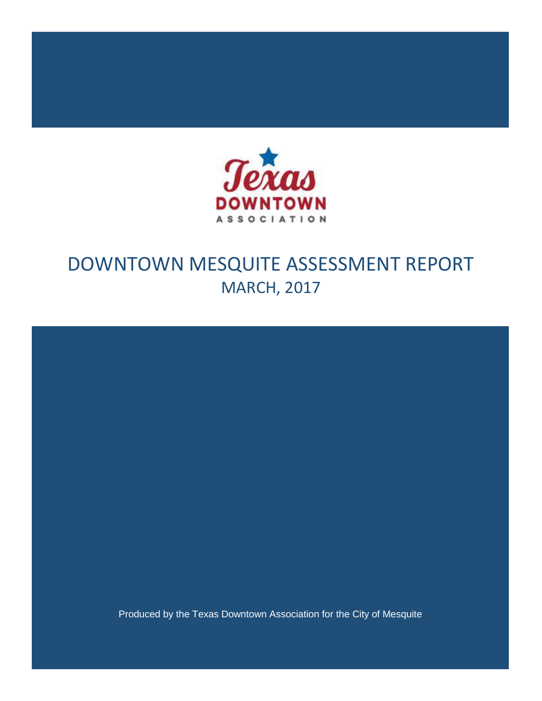

# DOWNTOWN MESQUITE ASSESSMENT REPORT MARCH, 2017

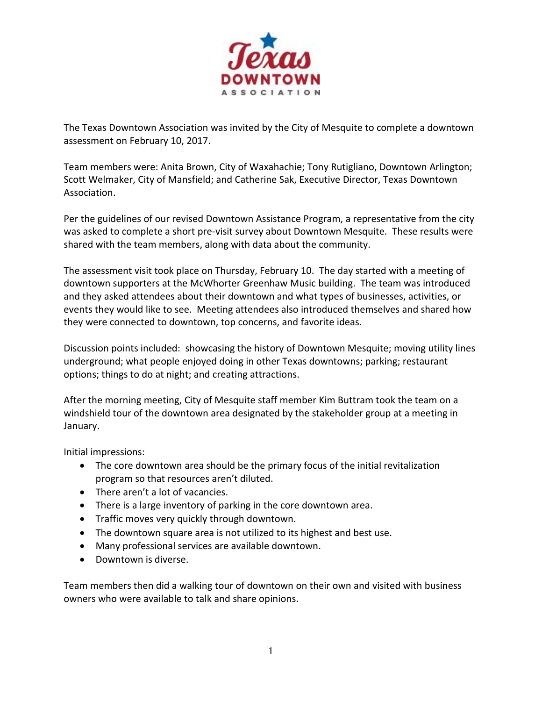

The Texas Downtown Association was invited by the City of Mesquite to complete a downtown assessment on February 10, 2017.

Team members were: Anita Brown, City of Waxahachie; Tony Rutigliano, Downtown Arlington; Scott Welmaker, City of Mansfield; and Catherine Sak, Executive Director, Texas Downtown Association.

Per the guidelines of our revised Downtown Assistance Program, a representative from the city was asked to complete a short pre-visit survey about Downtown Mesquite. These results were shared with the team members, along with data about the community.

The assessment visit took place on Thursday, February 10. The day started with a meeting of downtown supporters at the McWhorter Greenhaw Music building. The team was introduced and they asked attendees about their downtown and what types of businesses, activities, or events they would like to see. Meeting attendees also introduced themselves and shared how they were connected to downtown, top concerns, and favorite ideas.

Discussion points included: showcasing the history of Downtown Mesquite; moving utility lines underground; what people enjoyed doing in other Texas downtowns; parking; restaurant options; things to do at night; and creating attractions.

After the morning meeting, City of Mesquite staff member Kim Buttram took the team on a windshield tour of the downtown area designated by the stakeholder group at a meeting in January.

Initial impressions:

- The core downtown area should be the primary focus of the initial revitalization program so that resources aren't diluted.
- There aren't a lot of vacancies.
- There is a large inventory of parking in the core downtown area.
- Traffic moves very quickly through downtown.
- The downtown square area is not utilized to its highest and best use.
- Many professional services are available downtown.
- Downtown is diverse.

Team members then did a walking tour of downtown on their own and visited with business owners who were available to talk and share opinions.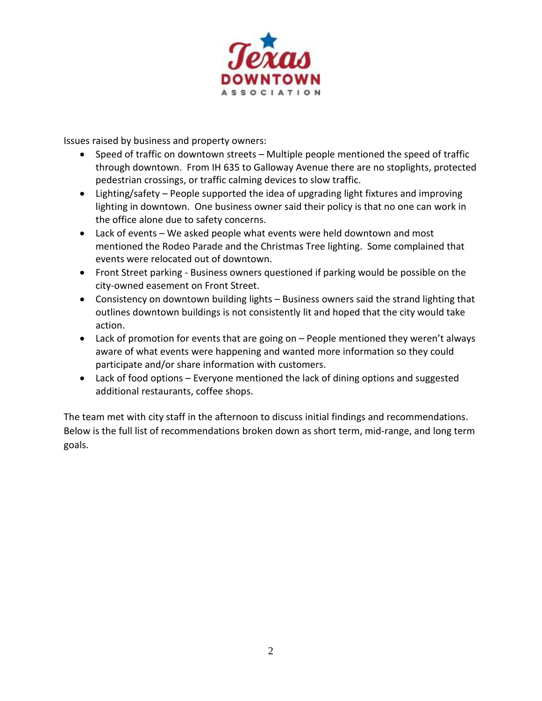

Issues raised by business and property owners:

- Speed of traffic on downtown streets Multiple people mentioned the speed of traffic through downtown. From IH 635 to Galloway Avenue there are no stoplights, protected pedestrian crossings, or traffic calming devices to slow traffic.
- Lighting/safety People supported the idea of upgrading light fixtures and improving lighting in downtown. One business owner said their policy is that no one can work in the office alone due to safety concerns.
- Lack of events We asked people what events were held downtown and most mentioned the Rodeo Parade and the Christmas Tree lighting. Some complained that events were relocated out of downtown.
- Front Street parking Business owners questioned if parking would be possible on the city-owned easement on Front Street.
- Consistency on downtown building lights Business owners said the strand lighting that outlines downtown buildings is not consistently lit and hoped that the city would take action.
- Lack of promotion for events that are going on People mentioned they weren't always aware of what events were happening and wanted more information so they could participate and/or share information with customers.
- Lack of food options Everyone mentioned the lack of dining options and suggested additional restaurants, coffee shops.

The team met with city staff in the afternoon to discuss initial findings and recommendations. Below is the full list of recommendations broken down as short term, mid-range, and long term goals.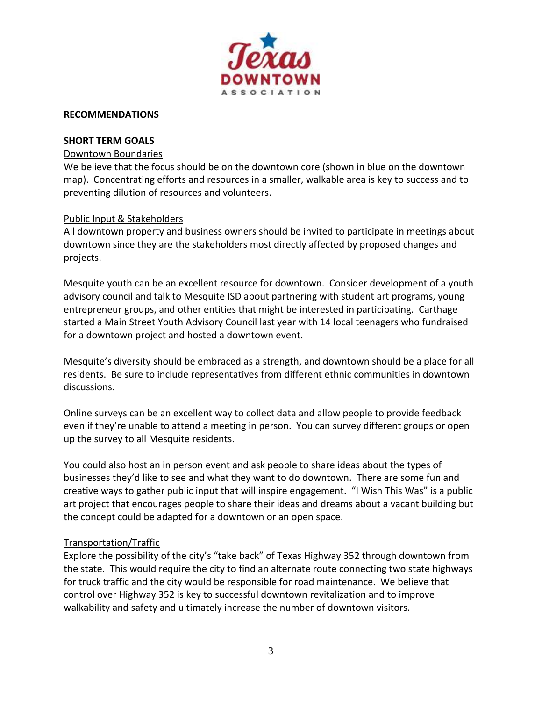

#### **RECOMMENDATIONS**

#### **SHORT TERM GOALS**

#### Downtown Boundaries

We believe that the focus should be on the downtown core (shown in blue on the downtown map). Concentrating efforts and resources in a smaller, walkable area is key to success and to preventing dilution of resources and volunteers.

#### Public Input & Stakeholders

All downtown property and business owners should be invited to participate in meetings about downtown since they are the stakeholders most directly affected by proposed changes and projects.

Mesquite youth can be an excellent resource for downtown. Consider development of a youth advisory council and talk to Mesquite ISD about partnering with student art programs, young entrepreneur groups, and other entities that might be interested in participating. Carthage started a Main Street Youth Advisory Council last year with 14 local teenagers who fundraised for a downtown project and hosted a downtown event.

Mesquite's diversity should be embraced as a strength, and downtown should be a place for all residents. Be sure to include representatives from different ethnic communities in downtown discussions.

Online surveys can be an excellent way to collect data and allow people to provide feedback even if they're unable to attend a meeting in person. You can survey different groups or open up the survey to all Mesquite residents.

You could also host an in person event and ask people to share ideas about the types of businesses they'd like to see and what they want to do downtown. There are some fun and creative ways to gather public input that will inspire engagement. "I Wish This Was" is a public art project that encourages people to share their ideas and dreams about a vacant building but the concept could be adapted for a downtown or an open space.

#### Transportation/Traffic

Explore the possibility of the city's "take back" of Texas Highway 352 through downtown from the state. This would require the city to find an alternate route connecting two state highways for truck traffic and the city would be responsible for road maintenance. We believe that control over Highway 352 is key to successful downtown revitalization and to improve walkability and safety and ultimately increase the number of downtown visitors.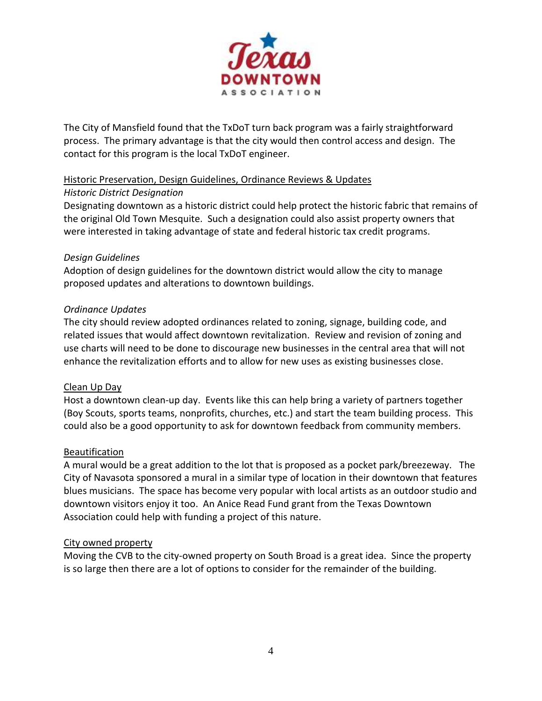

The City of Mansfield found that the TxDoT turn back program was a fairly straightforward process. The primary advantage is that the city would then control access and design. The contact for this program is the local TxDoT engineer.

## Historic Preservation, Design Guidelines, Ordinance Reviews & Updates

## *Historic District Designation*

Designating downtown as a historic district could help protect the historic fabric that remains of the original Old Town Mesquite. Such a designation could also assist property owners that were interested in taking advantage of state and federal historic tax credit programs.

## *Design Guidelines*

Adoption of design guidelines for the downtown district would allow the city to manage proposed updates and alterations to downtown buildings.

## *Ordinance Updates*

The city should review adopted ordinances related to zoning, signage, building code, and related issues that would affect downtown revitalization. Review and revision of zoning and use charts will need to be done to discourage new businesses in the central area that will not enhance the revitalization efforts and to allow for new uses as existing businesses close.

## Clean Up Day

Host a downtown clean-up day. Events like this can help bring a variety of partners together (Boy Scouts, sports teams, nonprofits, churches, etc.) and start the team building process. This could also be a good opportunity to ask for downtown feedback from community members.

# **Beautification**

A mural would be a great addition to the lot that is proposed as a pocket park/breezeway. The City of Navasota sponsored a mural in a similar type of location in their downtown that features blues musicians. The space has become very popular with local artists as an outdoor studio and downtown visitors enjoy it too. An Anice Read Fund grant from the Texas Downtown Association could help with funding a project of this nature.

## City owned property

Moving the CVB to the city-owned property on South Broad is a great idea. Since the property is so large then there are a lot of options to consider for the remainder of the building.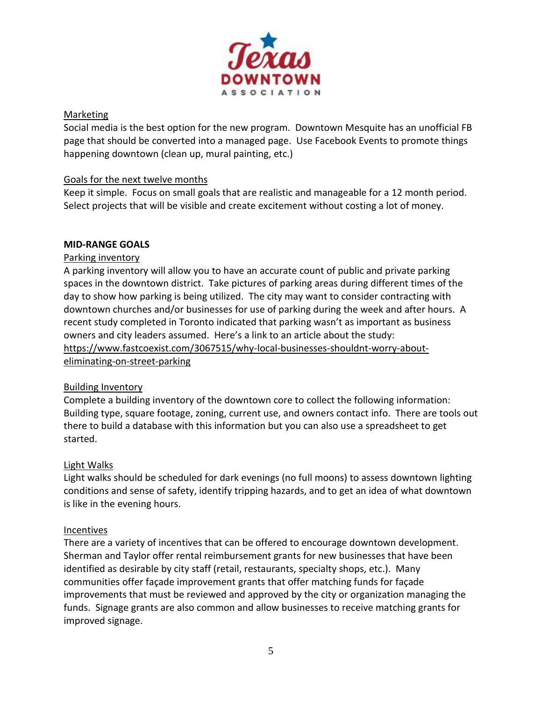

## Marketing

Social media is the best option for the new program. Downtown Mesquite has an unofficial FB page that should be converted into a managed page. Use Facebook Events to promote things happening downtown (clean up, mural painting, etc.)

## Goals for the next twelve months

Keep it simple. Focus on small goals that are realistic and manageable for a 12 month period. Select projects that will be visible and create excitement without costing a lot of money.

# **MID-RANGE GOALS**

## Parking inventory

A parking inventory will allow you to have an accurate count of public and private parking spaces in the downtown district. Take pictures of parking areas during different times of the day to show how parking is being utilized. The city may want to consider contracting with downtown churches and/or businesses for use of parking during the week and after hours. A recent study completed in Toronto indicated that parking wasn't as important as business owners and city leaders assumed. Here's a link to an article about the study: [https://www.fastcoexist.com/3067515/why-local-businesses-shouldnt-worry-about](https://www.fastcoexist.com/3067515/why-local-businesses-shouldnt-worry-about-eliminating-on-street-parking)[eliminating-on-street-parking](https://www.fastcoexist.com/3067515/why-local-businesses-shouldnt-worry-about-eliminating-on-street-parking) 

# Building Inventory

Complete a building inventory of the downtown core to collect the following information: Building type, square footage, zoning, current use, and owners contact info. There are tools out there to build a database with this information but you can also use a spreadsheet to get started.

# Light Walks

Light walks should be scheduled for dark evenings (no full moons) to assess downtown lighting conditions and sense of safety, identify tripping hazards, and to get an idea of what downtown is like in the evening hours.

## Incentives

There are a variety of incentives that can be offered to encourage downtown development. Sherman and Taylor offer rental reimbursement grants for new businesses that have been identified as desirable by city staff (retail, restaurants, specialty shops, etc.). Many communities offer façade improvement grants that offer matching funds for façade improvements that must be reviewed and approved by the city or organization managing the funds. Signage grants are also common and allow businesses to receive matching grants for improved signage.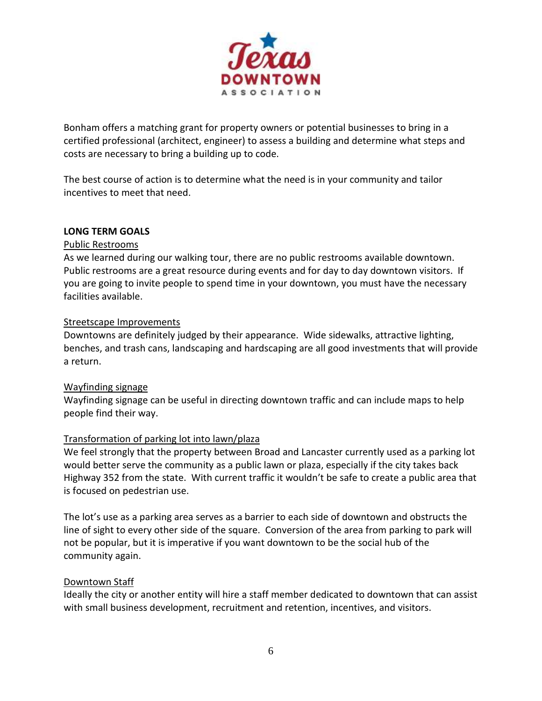

Bonham offers a matching grant for property owners or potential businesses to bring in a certified professional (architect, engineer) to assess a building and determine what steps and costs are necessary to bring a building up to code.

The best course of action is to determine what the need is in your community and tailor incentives to meet that need.

## **LONG TERM GOALS**

## Public Restrooms

As we learned during our walking tour, there are no public restrooms available downtown. Public restrooms are a great resource during events and for day to day downtown visitors. If you are going to invite people to spend time in your downtown, you must have the necessary facilities available.

## Streetscape Improvements

Downtowns are definitely judged by their appearance. Wide sidewalks, attractive lighting, benches, and trash cans, landscaping and hardscaping are all good investments that will provide a return.

# Wayfinding signage

Wayfinding signage can be useful in directing downtown traffic and can include maps to help people find their way.

# Transformation of parking lot into lawn/plaza

We feel strongly that the property between Broad and Lancaster currently used as a parking lot would better serve the community as a public lawn or plaza, especially if the city takes back Highway 352 from the state. With current traffic it wouldn't be safe to create a public area that is focused on pedestrian use.

The lot's use as a parking area serves as a barrier to each side of downtown and obstructs the line of sight to every other side of the square. Conversion of the area from parking to park will not be popular, but it is imperative if you want downtown to be the social hub of the community again.

## Downtown Staff

Ideally the city or another entity will hire a staff member dedicated to downtown that can assist with small business development, recruitment and retention, incentives, and visitors.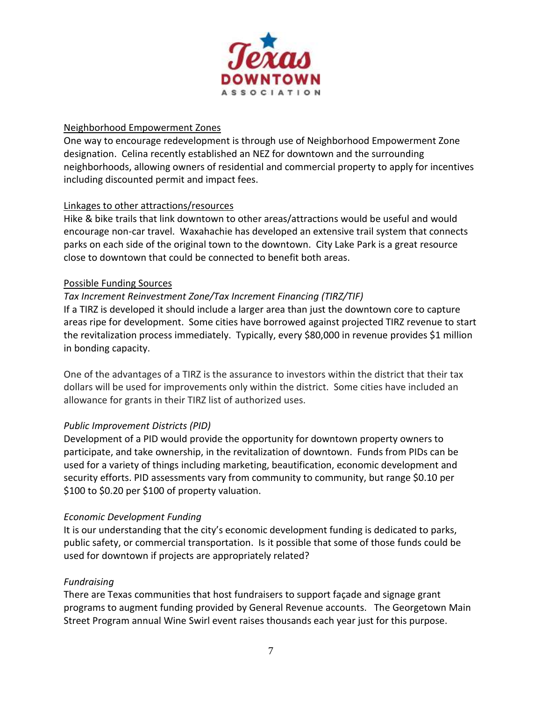

## Neighborhood Empowerment Zones

One way to encourage redevelopment is through use of Neighborhood Empowerment Zone designation. Celina recently established an NEZ for downtown and the surrounding neighborhoods, allowing owners of residential and commercial property to apply for incentives including discounted permit and impact fees.

## Linkages to other attractions/resources

Hike & bike trails that link downtown to other areas/attractions would be useful and would encourage non-car travel. Waxahachie has developed an extensive trail system that connects parks on each side of the original town to the downtown. City Lake Park is a great resource close to downtown that could be connected to benefit both areas.

## Possible Funding Sources

## *Tax Increment Reinvestment Zone/Tax Increment Financing (TIRZ/TIF)*

If a TIRZ is developed it should include a larger area than just the downtown core to capture areas ripe for development. Some cities have borrowed against projected TIRZ revenue to start the revitalization process immediately. Typically, every \$80,000 in revenue provides \$1 million in bonding capacity.

One of the advantages of a TIRZ is the assurance to investors within the district that their tax dollars will be used for improvements only within the district. Some cities have included an allowance for grants in their TIRZ list of authorized uses.

# *Public Improvement Districts (PID)*

Development of a PID would provide the opportunity for downtown property owners to participate, and take ownership, in the revitalization of downtown. Funds from PIDs can be used for a variety of things including marketing, beautification, economic development and security efforts. PID assessments vary from community to community, but range \$0.10 per \$100 to \$0.20 per \$100 of property valuation.

## *Economic Development Funding*

It is our understanding that the city's economic development funding is dedicated to parks, public safety, or commercial transportation. Is it possible that some of those funds could be used for downtown if projects are appropriately related?

## *Fundraising*

There are Texas communities that host fundraisers to support façade and signage grant programs to augment funding provided by General Revenue accounts. The Georgetown Main Street Program annual Wine Swirl event raises thousands each year just for this purpose.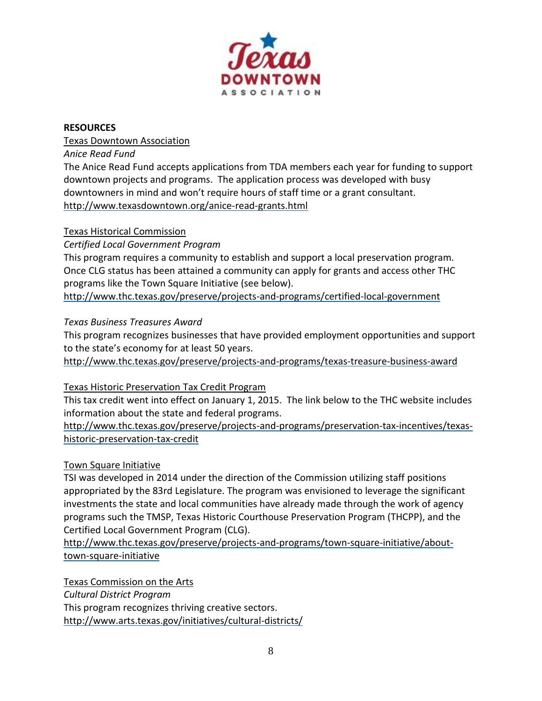

## **RESOURCES**

Texas Downtown Association

*Anice Read Fund*

The Anice Read Fund accepts applications from TDA members each year for funding to support downtown projects and programs. The application process was developed with busy downtowners in mind and won't require hours of staff time or a grant consultant. <http://www.texasdowntown.org/anice-read-grants.html>

## Texas Historical Commission

*Certified Local Government Program*

This program requires a community to establish and support a local preservation program. Once CLG status has been attained a community can apply for grants and access other THC programs like the Town Square Initiative (see below).

<http://www.thc.texas.gov/preserve/projects-and-programs/certified-local-government>

## *Texas Business Treasures Award*

This program recognizes businesses that have provided employment opportunities and support to the state's economy for at least 50 years.

<http://www.thc.texas.gov/preserve/projects-and-programs/texas-treasure-business-award>

# Texas Historic Preservation Tax Credit Program

This tax credit went into effect on January 1, 2015. The link below to the THC website includes information about the state and federal programs.

[http://www.thc.texas.gov/preserve/projects-and-programs/preservation-tax-incentives/texas](http://www.thc.texas.gov/preserve/projects-and-programs/preservation-tax-incentives/texas-historic-preservation-tax-credit)[historic-preservation-tax-credit](http://www.thc.texas.gov/preserve/projects-and-programs/preservation-tax-incentives/texas-historic-preservation-tax-credit)

## Town Square Initiative

TSI was developed in 2014 under the direction of the Commission utilizing staff positions appropriated by the 83rd Legislature. The program was envisioned to leverage the significant investments the state and local communities have already made through the work of agency programs such the TMSP, Texas Historic Courthouse Preservation Program (THCPP), and the Certified Local Government Program (CLG).

[http://www.thc.texas.gov/preserve/projects-and-programs/town-square-initiative/about](http://www.thc.texas.gov/preserve/projects-and-programs/town-square-initiative/about-town-square-initiative)[town-square-initiative](http://www.thc.texas.gov/preserve/projects-and-programs/town-square-initiative/about-town-square-initiative)

Texas Commission on the Arts

*Cultural District Program*

This program recognizes thriving creative sectors. <http://www.arts.texas.gov/initiatives/cultural-districts/>